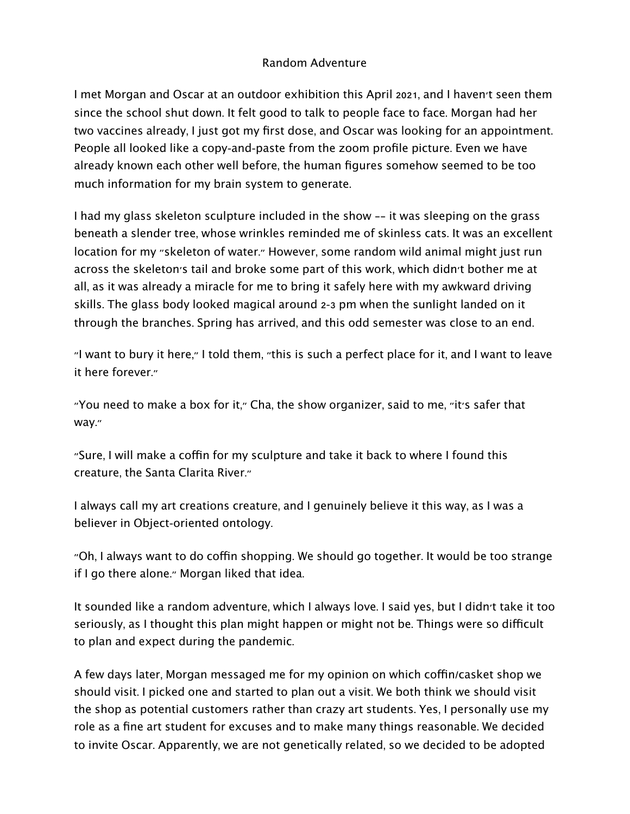## Random Adventure

I met Morgan and Oscar at an outdoor exhibition this April 2021, and I haven't seen them since the school shut down. It felt good to talk to people face to face. Morgan had her two vaccines already, I just got my first dose, and Oscar was looking for an appointment. People all looked like a copy-and-paste from the zoom profile picture. Even we have already known each other well before, the human figures somehow seemed to be too much information for my brain system to generate.

I had my glass skeleton sculpture included in the show -- it was sleeping on the grass beneath a slender tree, whose wrinkles reminded me of skinless cats. It was an excellent location for my "skeleton of water." However, some random wild animal might just run across the skeleton's tail and broke some part of this work, which didn't bother me at all, as it was already a miracle for me to bring it safely here with my awkward driving skills. The glass body looked magical around 2-3 pm when the sunlight landed on it through the branches. Spring has arrived, and this odd semester was close to an end.

"I want to bury it here," I told them, "this is such a perfect place for it, and I want to leave it here forever."

"You need to make a box for it," Cha, the show organizer, said to me, "it's safer that way."

"Sure, I will make a coffin for my sculpture and take it back to where I found this creature, the Santa Clarita River."

I always call my art creations creature, and I genuinely believe it this way, as I was a believer in Object-oriented ontology.

"Oh, I always want to do coffin shopping. We should go together. It would be too strange if I go there alone." Morgan liked that idea.

It sounded like a random adventure, which I always love. I said yes, but I didn't take it too seriously, as I thought this plan might happen or might not be. Things were so difficult to plan and expect during the pandemic.

A few days later, Morgan messaged me for my opinion on which coffin/casket shop we should visit. I picked one and started to plan out a visit. We both think we should visit the shop as potential customers rather than crazy art students. Yes, I personally use my role as a fine art student for excuses and to make many things reasonable. We decided to invite Oscar. Apparently, we are not genetically related, so we decided to be adopted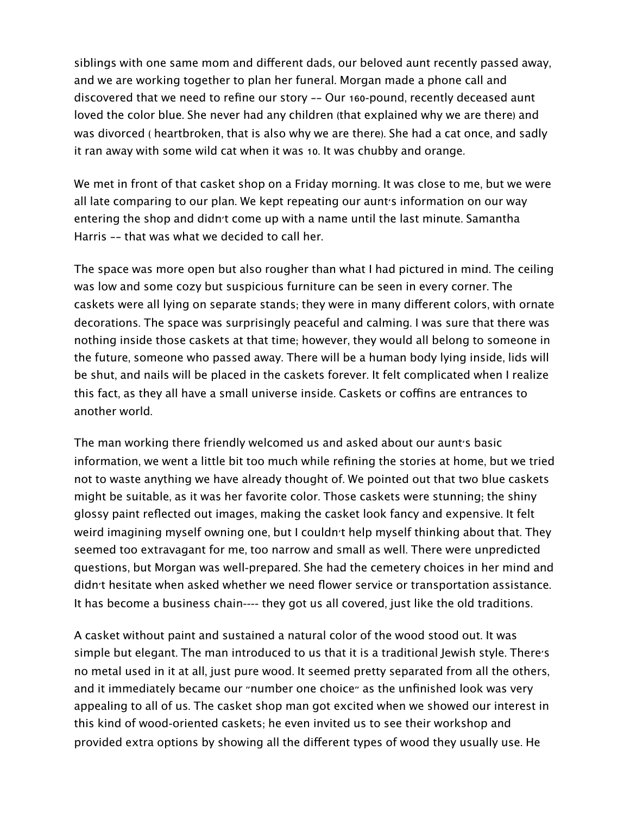siblings with one same mom and diferent dads, our beloved aunt recently passed away, and we are working together to plan her funeral. Morgan made a phone call and discovered that we need to refine our story -- Our 160-pound, recently deceased aunt loved the color blue. She never had any children (that explained why we are there) and was divorced ( heartbroken, that is also why we are there). She had a cat once, and sadly it ran away with some wild cat when it was 10. It was chubby and orange.

We met in front of that casket shop on a Friday morning. It was close to me, but we were all late comparing to our plan. We kept repeating our aunt's information on our way entering the shop and didn't come up with a name until the last minute. Samantha Harris —— that was what we decided to call her.

The space was more open but also rougher than what I had pictured in mind. The ceiling was low and some cozy but suspicious furniture can be seen in every corner. The caskets were all lying on separate stands; they were in many diferent colors, with ornate decorations. The space was surprisingly peaceful and calming. I was sure that there was nothing inside those caskets at that time; however, they would all belong to someone in the future, someone who passed away. There will be a human body lying inside, lids will be shut, and nails will be placed in the caskets forever. It felt complicated when I realize this fact, as they all have a small universe inside. Caskets or coffins are entrances to another world.

The man working there friendly welcomed us and asked about our aunt's basic information, we went a little bit too much while refining the stories at home, but we tried not to waste anything we have already thought of. We pointed out that two blue caskets might be suitable, as it was her favorite color. Those caskets were stunning; the shiny glossy paint reflected out images, making the casket look fancy and expensive. It felt weird imagining myself owning one, but I couldn't help myself thinking about that. They seemed too extravagant for me, too narrow and small as well. There were unpredicted questions, but Morgan was well-prepared. She had the cemetery choices in her mind and didn't hesitate when asked whether we need flower service or transportation assistance. It has become a business chain---- they got us all covered, just like the old traditions.

A casket without paint and sustained a natural color of the wood stood out. It was simple but elegant. The man introduced to us that it is a traditional Jewish style. There's no metal used in it at all, just pure wood. It seemed pretty separated from all the others, and it immediately became our "number one choice" as the unfinished look was very appealing to all of us. The casket shop man got excited when we showed our interest in this kind of wood-oriented caskets; he even invited us to see their workshop and provided extra options by showing all the diferent types of wood they usually use. He